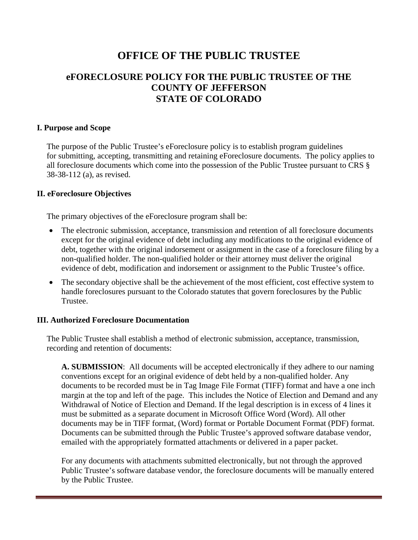# **OFFICE OF THE PUBLIC TRUSTEE**

# **eFORECLOSURE POLICY FOR THE PUBLIC TRUSTEE OF THE COUNTY OF JEFFERSON STATE OF COLORADO**

#### **I. Purpose and Scope**

The purpose of the Public Trustee's eForeclosure policy is to establish program guidelines for submitting, accepting, transmitting and retaining eForeclosure documents. The policy applies to all foreclosure documents which come into the possession of the Public Trustee pursuant to CRS § 38-38-112 (a), as revised.

#### **II. eForeclosure Objectives**

The primary objectives of the eForeclosure program shall be:

- The electronic submission, acceptance, transmission and retention of all foreclosure documents except for the original evidence of debt including any modifications to the original evidence of debt, together with the original indorsement or assignment in the case of a foreclosure filing by a non-qualified holder. The non-qualified holder or their attorney must deliver the original evidence of debt, modification and indorsement or assignment to the Public Trustee's office.
- The secondary objective shall be the achievement of the most efficient, cost effective system to handle foreclosures pursuant to the Colorado statutes that govern foreclosures by the Public Trustee.

#### **III. Authorized Foreclosure Documentation**

The Public Trustee shall establish a method of electronic submission, acceptance, transmission, recording and retention of documents:

**A. SUBMISSION**: All documents will be accepted electronically if they adhere to our naming conventions except for an original evidence of debt held by a non-qualified holder. Any documents to be recorded must be in Tag Image File Format (TIFF) format and have a one inch margin at the top and left of the page. This includes the Notice of Election and Demand and any Withdrawal of Notice of Election and Demand. If the legal description is in excess of 4 lines it must be submitted as a separate document in Microsoft Office Word (Word). All other documents may be in TIFF format, (Word) format or Portable Document Format (PDF) format. Documents can be submitted through the Public Trustee's approved software database vendor, emailed with the appropriately formatted attachments or delivered in a paper packet.

For any documents with attachments submitted electronically, but not through the approved Public Trustee's software database vendor, the foreclosure documents will be manually entered by the Public Trustee.